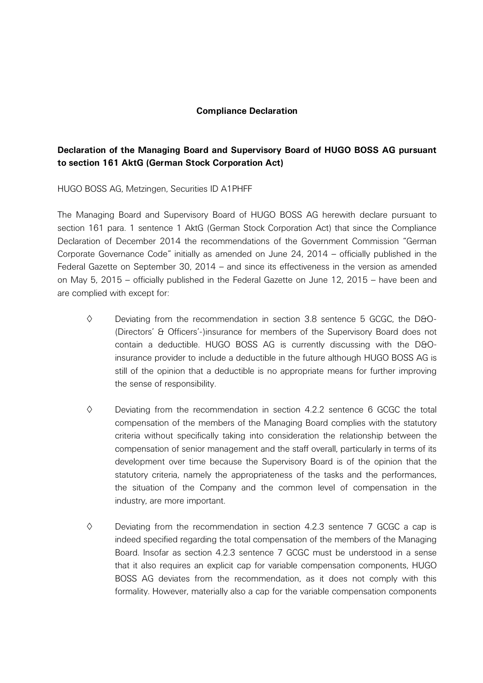## **Compliance Declaration**

## **Declaration of the Managing Board and Supervisory Board of HUGO BOSS AG pursuant to section 161 AktG (German Stock Corporation Act)**

HUGO BOSS AG, Metzingen, Securities ID A1PHFF

The Managing Board and Supervisory Board of HUGO BOSS AG herewith declare pursuant to section 161 para. 1 sentence 1 AktG (German Stock Corporation Act) that since the Compliance Declaration of December 2014 the recommendations of the Government Commission "German Corporate Governance Code" initially as amended on June 24, 2014 – officially published in the Federal Gazette on September 30, 2014 – and since its effectiveness in the version as amended on May 5, 2015 – officially published in the Federal Gazette on June 12, 2015 – have been and are complied with except for:

- $\diamond$  Deviating from the recommendation in section 3.8 sentence 5 GCGC, the D&O-(Directors' & Officers'-)insurance for members of the Supervisory Board does not contain a deductible. HUGO BOSS AG is currently discussing with the D&Oinsurance provider to include a deductible in the future although HUGO BOSS AG is still of the opinion that a deductible is no appropriate means for further improving the sense of responsibility.
- $\diamond$  Deviating from the recommendation in section 4.2.2 sentence 6 GCGC the total compensation of the members of the Managing Board complies with the statutory criteria without specifically taking into consideration the relationship between the compensation of senior management and the staff overall, particularly in terms of its development over time because the Supervisory Board is of the opinion that the statutory criteria, namely the appropriateness of the tasks and the performances, the situation of the Company and the common level of compensation in the industry, are more important.
- $\diamond$  Deviating from the recommendation in section 4.2.3 sentence 7 GCGC a cap is indeed specified regarding the total compensation of the members of the Managing Board. Insofar as section 4.2.3 sentence 7 GCGC must be understood in a sense that it also requires an explicit cap for variable compensation components, HUGO BOSS AG deviates from the recommendation, as it does not comply with this formality. However, materially also a cap for the variable compensation components